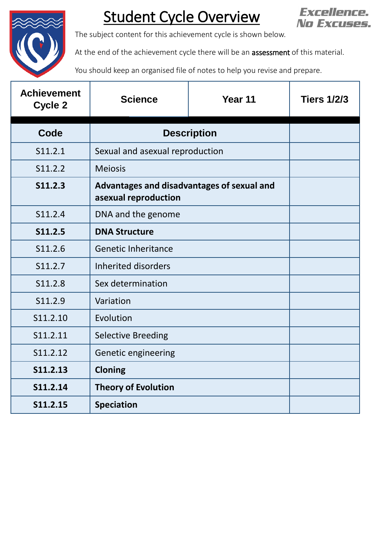

## Student Cycle Overview



The subject content for this achievement cycle is shown below.

At the end of the achievement cycle there will be an **assessment** of this material.

You should keep an organised file of notes to help you revise and prepare.

| <b>Achievement</b><br>Cycle 2 | <b>Science</b>                                                     | Year 11 | <b>Tiers 1/2/3</b> |
|-------------------------------|--------------------------------------------------------------------|---------|--------------------|
| Code                          | <b>Description</b>                                                 |         |                    |
| S11.2.1                       | Sexual and asexual reproduction                                    |         |                    |
| S11.2.2                       | <b>Meiosis</b>                                                     |         |                    |
| <b>S11.2.3</b>                | Advantages and disadvantages of sexual and<br>asexual reproduction |         |                    |
| S11.2.4                       | DNA and the genome                                                 |         |                    |
| S11.2.5                       | <b>DNA Structure</b>                                               |         |                    |
| S11.2.6                       | <b>Genetic Inheritance</b>                                         |         |                    |
| S11.2.7                       | <b>Inherited disorders</b>                                         |         |                    |
| S11.2.8                       | Sex determination                                                  |         |                    |
| S11.2.9                       | Variation                                                          |         |                    |
| S11.2.10                      | Evolution                                                          |         |                    |
| S11.2.11                      | <b>Selective Breeding</b>                                          |         |                    |
| S11.2.12                      | Genetic engineering                                                |         |                    |
| S11.2.13                      | <b>Cloning</b>                                                     |         |                    |
| S11.2.14                      | <b>Theory of Evolution</b>                                         |         |                    |
| S11.2.15                      | <b>Speciation</b>                                                  |         |                    |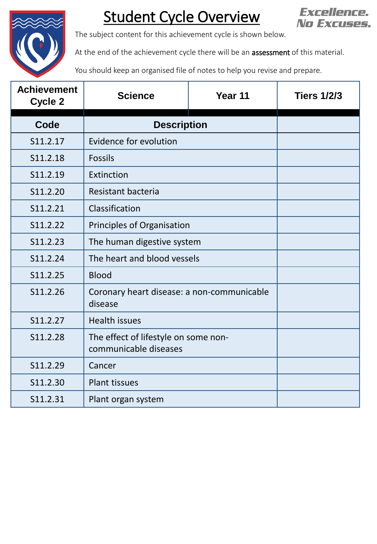

## Student Cycle Overview



The subject content for this achievement cycle is shown below.

At the end of the achievement cycle there will be an **assessment** of this material.

You should keep an organised file of notes to help you revise and prepare.

| <b>Achievement</b><br><b>Cycle 2</b> | <b>Science</b>                                                | Year 11 | <b>Tiers 1/2/3</b> |
|--------------------------------------|---------------------------------------------------------------|---------|--------------------|
| Code                                 | <b>Description</b>                                            |         |                    |
| S11.2.17                             | Evidence for evolution                                        |         |                    |
| S11.2.18                             | <b>Fossils</b>                                                |         |                    |
| S11.2.19                             | Extinction                                                    |         |                    |
| S11.2.20                             | Resistant bacteria                                            |         |                    |
| S11.2.21                             | Classification                                                |         |                    |
| S11.2.22                             | Principles of Organisation                                    |         |                    |
| S11.2.23                             | The human digestive system                                    |         |                    |
| S11.2.24                             | The heart and blood vessels                                   |         |                    |
| S11.2.25                             | <b>Blood</b>                                                  |         |                    |
| S11.2.26                             | Coronary heart disease: a non-communicable<br>disease         |         |                    |
| S11.2.27                             | <b>Health issues</b>                                          |         |                    |
| S11.2.28                             | The effect of lifestyle on some non-<br>communicable diseases |         |                    |
| S11.2.29                             | Cancer                                                        |         |                    |
| S11.2.30                             | <b>Plant tissues</b>                                          |         |                    |
| S11.2.31                             | Plant organ system                                            |         |                    |